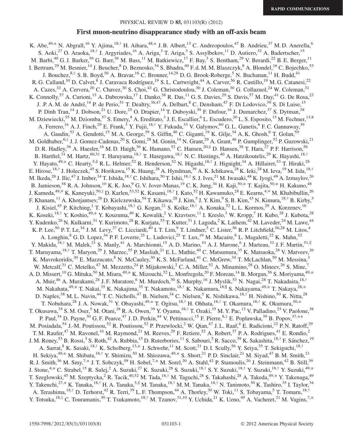### PHYSICAL REVIEW D 85, 031103(R) (2012)

# First muon-neutrino disappearance study with an off-axis beam

<span id="page-0-1"></span><span id="page-0-0"></span>K. Abe,<sup>49,[\\*](#page-2-0)</sup> N. Abgrall,<sup>16</sup> Y. Ajima,<sup>18[,†](#page-2-1)</sup> H. Aihara,<sup>48[,\\*](#page-2-0)</sup> J. B. Albert,<sup>13</sup> C. Andreopoulos,<sup>47</sup> B. Andrieu,<sup>37</sup> M. D. Anerella,<sup>6</sup> S. Aoki,<sup>27</sup> O. Araoka,<sup>18[,†](#page-2-1)</sup> J. Argyriades,<sup>16</sup> A. Ariga,<sup>3</sup> T. Ariga,<sup>3</sup> S. Assylbekov,<sup>11</sup> D. Autiero,<sup>32</sup> A. Badertscher,<sup>15</sup> M. Barbi,<sup>40</sup> G. J. Barker,<sup>56</sup> G. Barr,<sup>36</sup> M. Bass,<sup>11</sup> M. Batkiewicz,<sup>17</sup> F. Bay,<sup>3</sup> S. Bentham,<sup>29</sup> V. Berardi,<sup>22</sup> B. E. Berger,<sup>11</sup> I. Bertram,<sup>29</sup> M. Besnier,<sup>14</sup> J. Beucher,<sup>8</sup> D. Beznosko,<sup>34</sup> S. Bhadra,<sup>60</sup> F. d. M. M. Blaszczyk,<sup>8</sup> A. Blondel,<sup>16</sup> C. Bojechko,<sup>53</sup> J. Bouchez,  $8, \frac{4}{3}$  S. B. Boyd,  $56$  A. Bravar,  $^{16}$  C. Bronner,  $^{14,28}$  D. G. Brook-Roberge,  $^5$  N. Buchanan,  $^{11}$  H. Budd,  $^{41}$ R. G. Calland,<sup>30</sup> D. Calvet,<sup>8</sup> J. Caravaca Rodríguez,<sup>19</sup> S. L. Cartwright,<sup>44</sup> A. Carver,<sup>56</sup> R. Castillo,<sup>19</sup> M. G. Catanesi,<sup>22</sup> A. Cazes,<sup>32</sup> A. Cervera,<sup>20</sup> C. Chavez,<sup>30</sup> S. Choi,<sup>43</sup> G. Christodoulou,<sup>30</sup> J. Coleman,<sup>30</sup> G. Collazuol,<sup>24</sup> W. Coleman,<sup>31</sup> K. Connolly,<sup>57</sup> A. Curioni,<sup>15</sup> A. Dabrowska,<sup>17</sup> I. Danko,<sup>38</sup> R. Das,<sup>11</sup> G. S. Davies,<sup>29</sup> S. Davis,<sup>57</sup> M. Day,<sup>41</sup> G. De Rosa,<sup>23</sup> J. .P. A. M. de André,<sup>14</sup> P. de Perio,<sup>51</sup> T. Dealtry,<sup>36,47</sup> A. Delbart,<sup>8</sup> C. Densham,<sup>47</sup> F. Di Lodovico,<sup>39</sup> S. Di Luise,<sup>15</sup> P. Dinh Tran,<sup>14</sup> J. Dobson,<sup>21</sup> U. Dore,<sup>25</sup> O. Drapier,<sup>14</sup> T. Duboyski,<sup>39</sup> F. Dufour,<sup>16</sup> J. Dumarchez,<sup>37</sup> S. Dytman,<sup>38</sup> M. Dziewiecki,<sup>55</sup> M. Dziomba,<sup>57</sup> S. Emery,<sup>8</sup> A. Ereditato,<sup>3</sup> J. E. Escallier,<sup>6</sup> L. Escudero,<sup>20</sup> L. S. Esposito,<sup>15</sup> M. Fechner,<sup>13,8</sup> A. Ferrero,<sup>16</sup> A. J. Finch,<sup>29</sup> E. Frank,<sup>3</sup> Y. Fujii,<sup>18,[†](#page-2-1)</sup> Y. Fukuda,<sup>33</sup> V. Galymov,<sup>60</sup> G. L. Ganetis,<sup>6</sup> F. C. Gannaway,<sup>39</sup> A. Gaudin,<sup>53</sup> A. Gendotti,<sup>15</sup> M. A. George,<sup>39</sup> S. Giffin,<sup>40</sup> C. Giganti,<sup>19</sup> K. Gilje,<sup>34</sup> A. K. Ghosh,<sup>6</sup> T. Golan,<sup>59</sup> M. Goldhaber,  $6, \frac{4}{5}$  J. J. Gomez-Cadenas,  $20$  S. Gomi,  $28$  M. Gonin,  $14$  N. Grant,  $29$  A. Grant,  $46$  P. Gumplinger,  $52$  P. Guzowski,  $21$ D. R. Hadley,<sup>56</sup> A. Haesler,<sup>16</sup> M. D. Haigh,<sup>36</sup> K. Hamano,<sup>52</sup> C. Hansen,<sup>20,[§](#page-2-3)</sup> D. Hansen,<sup>38</sup> T. Hara,<sup>27</sup> P. F. Harrison,<sup>56</sup> B. Hartfiel,<sup>31</sup> M. Hartz,<sup>60,51</sup> T. Haruyama,<sup>18,[†](#page-2-1)</sup> T. Hasegawa,<sup>18[,†](#page-2-1)</sup> N. C. Hastings,<sup>40</sup> A. Hatzikoutelis,<sup>29</sup> K. Hayashi,<sup>18,†</sup> Y. Hayato,<sup>49,[\\*](#page-2-0)</sup> C. Hearty,<sup>5,||</sup> R. L. Helmer,<sup>52</sup> R. Henderson,<sup>52</sup> N. Higashi,<sup>18[,†](#page-2-1)</sup> J. Hignight,<sup>34</sup> A. Hillairet,<sup>53</sup> T. Hiraki,<sup>28</sup> E. Hirose,<sup>18[,†](#page-2-1)</sup> J. Holeczek,<sup>45</sup> S. Horikawa,<sup>15</sup> K. Huang,<sup>28</sup> A. Hyndman,<sup>39</sup> A. K. Ichikawa,<sup>28</sup> K. Ieki,<sup>28</sup> M. Ieva,<sup>19</sup> M. Iida,<sup>18,†</sup> M. Ikeda,<sup>28</sup> J. Ilic,<sup>47</sup> J. Imber,<sup>34</sup> T. Ishida,<sup>18,[†](#page-2-1)</sup> C. Ishihara,<sup>50</sup> T. Ishii,<sup>18[,†](#page-2-1)</sup> S. J. Ives,<sup>21</sup> M. Iwasaki,<sup>48</sup> K. Iyogi,<sup>49</sup> A. Izmaylov,<sup>26</sup> B. Jamieson,<sup>58</sup> R. A. Johnson,<sup>10</sup> K. K. Joo,<sup>9</sup> G. V. Jover-Manas,<sup>19</sup> C. K. Jung,<sup>34</sup> H. Kaji,<sup>50,[\\*](#page-2-0)</sup> T. Kajita,<sup>50,\*</sup> H. Kakuno,<sup>48</sup> J. Kameda,<sup>49[,\\*](#page-2-0)</sup> K. Kaneyuki,<sup>50[,‡](#page-2-2)</sup> D. Karlen,<sup>53,52</sup> K. Kasami,<sup>18,[†](#page-2-1)</sup> I. Kato,<sup>52</sup> H. Kawamuko,<sup>28</sup> E. Kearns,<sup>4,[\\*](#page-2-0)</sup> M. Khabibullin,<sup>26</sup> F. Khanam,<sup>11</sup> A. Khotjantsev,<sup>26</sup> D. Kielczewska,<sup>54</sup> T. Kikawa,<sup>28</sup> J. Kim,<sup>5</sup> J. Y. Kim,<sup>9</sup> S. B. Kim,<sup>43</sup> N. Kimura,<sup>18,[†](#page-2-1)</sup> B. Kirby,<sup>5</sup> J. Kisiel,<sup>45</sup> P. Kitching,<sup>1</sup> T. Kobayashi,<sup>18[,†](#page-2-1)</sup> G. Kogan,<sup>21</sup> S. Koike,<sup>18,†</sup> A. Konaka,<sup>52</sup> L. L. Kormos,<sup>29</sup> A. Korzenev,<sup>16</sup> K. Koseki,<sup>18,[†](#page-2-1)</sup> Y. Koshio,<sup>49,[\\*](#page-2-0)</sup> Y. Kouzuma,<sup>49</sup> K. Kowalik,<sup>2</sup> V. Kravtsov,<sup>11</sup> I. Kreslo,<sup>3</sup> W. Kropp,<sup>7</sup> H. Kubo,<sup>28</sup> J. Kubota,<sup>28</sup> Y. Kudenko,<sup>26</sup> N. Kulkarni,<sup>31</sup> Y. Kurimoto,<sup>28</sup> R. Kurjata,<sup>55</sup> T. Kutter,<sup>31</sup> J. Lagoda,<sup>2</sup> K. Laihem,<sup>42</sup> M. Laveder,<sup>24</sup> M. Lawe,<sup>44</sup> K. P. Lee,<sup>50</sup> P. T. Le,<sup>34</sup> J. M. Levy,<sup>37</sup> C. Licciardi,<sup>40</sup> I. T. Lim,<sup>9</sup> T. Lindner,<sup>5</sup> C. Lister,<sup>56</sup> R. P. Litchfield,<sup>56,28</sup> M. Litos,<sup>4</sup> A. Longhin,<sup>8</sup> G. D. Lopez,<sup>34</sup> P. F. Loverre,<sup>25</sup> L. Ludovici,<sup>25</sup> T. Lux,<sup>19</sup> M. Macaire,<sup>8</sup> L. Magaletti,<sup>22</sup> K. Mahn,<sup>52</sup> Y. Makida, <sup>18[,†](#page-2-1)</sup> M. Malek,<sup>21</sup> S. Manly,<sup>41</sup> A. Marchionni,<sup>15</sup> A. D. Marino,<sup>10</sup> A. J. Marone,<sup>6</sup> J. Marteau,<sup>32</sup> J. F. Martin,<sup>51,||</sup> T. Maruyama,<sup>18,[†](#page-2-1)</sup> T. Maryon,<sup>29</sup> J. Marzec,<sup>55</sup> P. Masliah,<sup>21</sup> E. L. Mathie,<sup>40</sup> C. Matsumura,<sup>35</sup> K. Matsuoka,<sup>28</sup> V. Matveev,<sup>26</sup> K. Mavrokoridis,<sup>30</sup> E. Mazzucato,<sup>8</sup> N. McCauley,<sup>30</sup> K. S. McFarland,<sup>41</sup> C. McGrew,<sup>34</sup> T. McLachlan,<sup>50</sup> M. Messina,<sup>3</sup> W. Metcalf,<sup>31</sup> C. Metelko,<sup>47</sup> M. Mezzetto,<sup>24</sup> P. Mijakowski,<sup>2</sup> C. A. Miller,<sup>52</sup> A. Minamino,<sup>28</sup> O. Mineev,<sup>26</sup> S. Mine,<sup>7</sup> A. D. Missert,<sup>10</sup> G. Mituka,<sup>50</sup> M. Miura,<sup>49[,\\*](#page-2-0)</sup> K. Mizouchi,<sup>52</sup> L. Monfregola,<sup>20</sup> F. Moreau,<sup>14</sup> B. Morgan,<sup>56</sup> S. Moriyama,<sup>49,[\\*](#page-2-0)</sup> A. Muir,<sup>46</sup> A. Murakami,<sup>28</sup> J. F. Muratore,<sup>6</sup> M. Murdoch,<sup>30</sup> S. Murphy,<sup>16</sup> J. Myslik,<sup>53</sup> N. Nagai,<sup>28</sup> T. Nakadaira,<sup>18,[†](#page-2-1)</sup> M. Nakahata,<sup>49,[\\*](#page-2-0)</sup> T. Nakai,<sup>35</sup> K. Nakajima,<sup>35</sup> T. Nakamoto,<sup>18,[†](#page-2-1)</sup> K. Nakamura,<sup>18,¶</sup> S. Nakayama,<sup>49[,\\*](#page-2-0)</sup> T. Nakaya,<sup>28,\*</sup> D. Naples, $^{38}$  M. L. Navin, $^{44}$  T. C. Nicholls, $^{47}$  B. Nielsen, $^{34}$  C. Nielsen, $^5$  K. Nishikawa, $^{18, +}$  H. Nishino, $^{50}$  K. Nitta, $^{28}$ T. Nobuhara,<sup>28</sup> J. A. Nowak,<sup>31</sup> Y. Obayashi,<sup>49,[\\*](#page-2-0)</sup> T. Ogitsu,<sup>18[,†](#page-2-1)</sup> H. Ohhata,<sup>18,[†](#page-2-1)</sup> T. Okamura,<sup>18,†</sup> K. Okumura,<sup>50,\*</sup> T. Okusawa,<sup>35</sup> S. M. Oser,<sup>5</sup> M. Otani,<sup>28</sup> R. A. Owen,<sup>39</sup> Y. Oyama,<sup>18[,†](#page-2-1)</sup> T. Ozaki,<sup>35</sup> M. Y. Pac,<sup>12</sup> V. Palladino,<sup>23</sup> V. Paolone,<sup>38</sup> P. Paul,<sup>34</sup> D. Payne,<sup>30</sup> G. F. Pearce,<sup>47</sup> J. D. Perkin,<sup>44</sup> V. Pettinacci,<sup>15</sup> F. Pierre,<sup>8[,‡](#page-2-2)</sup> E. Poplawska,<sup>39</sup> B. Popov,<sup>37,\*\*</sup> M. Posiadala,<sup>54</sup> J.-M. Poutissou,<sup>52</sup> R. Poutissou,<sup>52</sup> P. Przewlocki,<sup>2</sup> W. Qian,<sup>47</sup> J. L. Raaf,<sup>4</sup> E. Radicioni,<sup>22</sup> P. N. Ratoff,<sup>29</sup> T. M. Raufer,<sup>47</sup> M. Ravonel,<sup>16</sup> M. Raymond,<sup>21</sup> M. Reeves,<sup>29</sup> F. Retiere,<sup>52</sup> A. Robert,<sup>37</sup> P. A. Rodrigues,<sup>41</sup> E. Rondio,<sup>2</sup> J. M. Roney,<sup>53</sup> B. Rossi,<sup>3</sup> S. Roth,<sup>42</sup> A. Rubbia,<sup>15</sup> D. Ruterbories,<sup>11</sup> S. Sabouri,<sup>5</sup> R. Sacco,<sup>39</sup> K. Sakashita,<sup>18[,†](#page-2-1)</sup> F. Sánchez,<sup>19</sup> A. Sarrat,<sup>8</sup> K. Sasaki,<sup>18,[†](#page-2-1)</sup> K. Scholberg,<sup>13,[\\*](#page-2-0)</sup> J. Schwehr,<sup>11</sup> M. Scott,<sup>21</sup> D. I. Scully,<sup>56</sup> Y. Seiya,<sup>35</sup> T. Sekiguchi,<sup>18[,†](#page-2-1)</sup> H. Sekiya,<sup>49[,\\*](#page-2-0)</sup> M. Shibata,<sup>18[,†](#page-2-1)</sup> Y. Shimizu,<sup>50</sup> M. Shiozawa,<sup>49,\*</sup> S. Short,<sup>21</sup> P.D. Sinclair,<sup>21</sup> M. Siyad,<sup>47</sup> B.M. Smith,<sup>21</sup> R. J. Smith,<sup>36</sup> M. Smy,<sup>7,[\\*](#page-2-0)</sup> J. T. Sobczyk,<sup>59</sup> H. Sobel,<sup>7,\*</sup> M. Sorel,<sup>20</sup> A. Stahl,<sup>42</sup> P. Stamoulis,<sup>20</sup> J. Steinmann,<sup>42</sup> B. Still,<sup>39</sup> J. Stone,<sup>4,[\\*](#page-2-0)</sup> C. Strabel,<sup>15</sup> R. Sulej,<sup>2</sup> A. Suzuki,<sup>27</sup> K. Suzuki,<sup>28</sup> S. Suzuki,<sup>18,[†](#page-2-1)</sup> S. Y. Suzuki,<sup>18,†</sup> Y. Suzuki,<sup>18,†</sup> Y. Suzuki,<sup>49,\*</sup> T. Szeglowski,<sup>45</sup> M. Szeptycka,<sup>2</sup> R. Tacik,<sup>40,52</sup> M. Tada,<sup>18[,†](#page-2-1)</sup> M. Taguchi,<sup>28</sup> S. Takahashi,<sup>28</sup> A. Takeda,<sup>49,[\\*](#page-2-0)</sup> Y. Takenaga,<sup>49</sup> Y. Takeuchi,<sup>27,[\\*](#page-2-0)</sup> K. Tanaka,<sup>18,[†](#page-2-1)</sup> H. A. Tanaka,<sup>5,||</sup> M. Tanaka,<sup>18[,†](#page-2-1)</sup> M. M. Tanaka,<sup>18,†</sup> N. Tanimoto,<sup>50</sup> K. Tashiro,<sup>35</sup> I. Taylor,<sup>34</sup> A. Terashima,<sup>18,[†](#page-2-1)</sup> D. Terhorst,<sup>42</sup> R. Terri,<sup>39</sup> L. F. Thompson,<sup>44</sup> A. Thorley,<sup>30</sup> W. Toki,<sup>11</sup> S. Tobayama,<sup>5</sup> T. Tomaru,<sup>18[,†](#page-2-1)</sup> Y. Totsuka,  $18, \frac{1}{7}$  C. Touramanis,  $30$  T. Tsukamoto,  $18, \frac{1}{7}$  M. Tzanov,  $31, 10$  Y. Uchida,  $21$  K. Ueno,  $49$  A. Vacheret,  $21$  M. Vagins,  $7, \frac{1}{7}$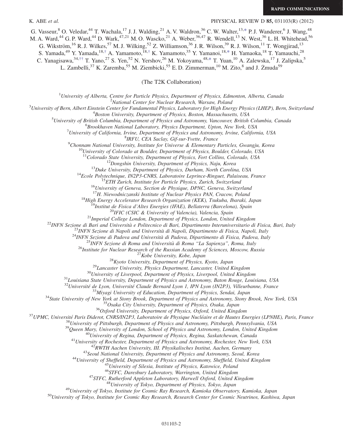## K. ABE *et al.* **PHYSICAL REVIEW D 85, 031103(R)** (2012)

G. Vasseur, <sup>8</sup> O. Veledar, <sup>44</sup> T. Wachala, <sup>17</sup> J. J. Walding, <sup>21</sup> A. V. Waldron, <sup>36</sup> C. W. Walter, <sup>13,[\\*](#page-2-0)</sup> P. J. Wanderer, <sup>6</sup> J. Wang, <sup>48</sup>

M. A. Ward,<sup>44</sup> G. P. Ward,<sup>44</sup> D. Wark,<sup>47,21</sup> M. O. Wascko,<sup>21</sup> A. Weber,<sup>36,47</sup> R. Wendell,<sup>13</sup> N. West,<sup>36</sup> L. H. Whitehead,<sup>56</sup>

G. Wikström,<sup>16</sup> R. J. Wilkes,<sup>57</sup> M. J. Wilking,<sup>52</sup> Z. Williamson,<sup>36</sup> J. R. Wilson,<sup>39</sup> R. J. Wilson,<sup>11</sup> T. Wongjirad,<sup>13</sup>

S. Yamada,<sup>49</sup> Y. Yamada,<sup>18[,†](#page-2-1)</sup> A. Yamamoto,<sup>18,†</sup> K. Yamamoto,<sup>35</sup> Y. Yamanoi,<sup>18[,\\*](#page-2-0)</sup> H. Yamaoka,<sup>18</sup> T. Yamauchi,<sup>28</sup>

<span id="page-1-0"></span>C. Yanagisawa,<sup>34[,††](#page-2-4)</sup> T. Yano,<sup>27</sup> S. Yen,<sup>52</sup> N. Yershov,<sup>26</sup> M. Yokoyama,<sup>48[,\\*](#page-2-0)</sup> T. Yuan,<sup>10</sup> A. Zalewska,<sup>17</sup> J. Zalipska,<sup>5</sup>

L. Zambelli,<sup>37</sup> K. Zaremba,<sup>55</sup> M. Ziembicki,<sup>55</sup> E.D. Zimmerman,<sup>10</sup> M. Zito,<sup>8</sup> and J. Zmuda<sup>59</sup>

(The T2K Collaboration)

<sup>1</sup>University of Alberta, Centre for Particle Physics, Department of Physics, Edmonton, Alberta, Canada<br><sup>2</sup>National Center for Nuclear Besearch, Warsaw, Poland

<sup>2</sup>National Center for Nuclear Research, Warsaw, Poland<br><sup>3</sup>University of Bern, Albert Einstein Center for Eundamental Physics, Laboratory for High Ener

University of Bern, Albert Einstein Center for Fundamental Physics, Laboratory for High Energy Physics (LHEP), Bern, Switzerland<br><sup>4</sup> Poston University Department of Physics, Poston Massachusetts, USA

Boston University, Department of Physics, Boston, Massachusetts, USA<sup>5</sup><br><sup>5</sup>University of British Columbia, Department of Physics and Astronomy, Vancouver, British

University of British Columbia, Department of Physics and Astronomy, Vancouver, British Columbia, Canada<br><sup>6</sup>Brookhayan National Laboratory, Physics Department, Unton, Nay York, USA

 ${}^{6}$ Brookhaven National Laboratory, Physics Department, Upton, New York, USA

University of California, Irvine, Department of Physics and Astronomy, Irvine, California, USA<br><sup>8</sup>IRFU, CEA Saclay, Gif-sur-Yvette, France

 ${}^9$ Chonnam National University, Institute for Universe & Elementary Particles, Gwangju, Korea

<sup>10</sup>University of Colorado at Boulder, Department of Physics, Boulder, Colorado, USA<br><sup>11</sup>Colorado State University, Department of Physics, Fort Collins, Colorado, USA

<sup>12</sup>Dongshin University, Department of Physics, Naju, Korea<br><sup>13</sup>Duke University, Department of Physics, Durham, North Carolina, USA<br><sup>14</sup>Ecole Polytechnique, IN2P3-CNRS, Laboratoire Leprince-Ringuet, Palaiseau, France<br><sup>15</sup>

<sup>17</sup>H. Niewodniczanski Institute of Nuclear Physics PAN, Cracow, Poland<br>
<sup>18</sup>High Energy Accelerator Research Organization (KEK), Tsukuba, Ibaraki, Japan<br>
<sup>19</sup>Institute Fisica d'Altes Energies (IFAE), Bellaterra (Barcelon

 $\begin{small} \textbf{32} \textit{University} & \textbf{14} \textit{Lyon}, \textit{University of Rautain} \textit{Claude Bernard Lyon 1, PNN Lyon (IN2P3), Villeurbanne, France} \\ \textbf{33} \textit{Miyagi University of New York at Stony Brock, Department of Physics and Astronomy, Strong Brook, New York, USA} \\ \textbf{34} \textit{State University of New York at Stony Brock, Department of Physics and Astronomy, Strong Brook, New York, USA} \\ \textbf{35} \textit{Oxydra City University, Department of Physics, Oxda, Japan \\ \textbf{36} \textit{Oxydrai Glyi University, Department of Physics, Oxford, United Kingdom \\ \textbf{37} \textit{UP$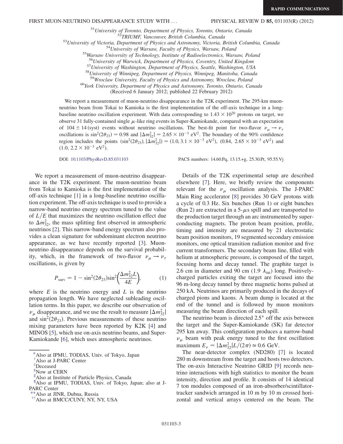<sup>51</sup>University of Toronto, Department of Physics, Toronto, Ontario, Canada<br><sup>52</sup>TRIUMF, Vancouver, British Columbia, Canada<br><sup>53</sup>University of Victoria, Department of Physics and Astronomy, Victoria, British Columbia, Canad

 $^{57}$ University of Washington, Department of Physics, Seattle, Washington, USA  $^{58}$ University of Winnipeg, Department of Physics, Winnipeg, Manitoba, Canada  $^{59}$ Wroclaw University, Faculty of Physics and Astronomy, W

 $50$ York University, Department of Physics and Astronomy, Toronto, Ontario, Canada

(Received 6 January 2012; published 22 February 2012)

We report a measurement of muon-neutrino disappearance in the T2K experiment. The 295-km muonneutrino beam from Tokai to Kamioka is the first implementation of the off-axis technique in a longbaseline neutrino oscillation experiment. With data corresponding to  $1.43 \times 10^{20}$  protons on target, we observe 31 fully-contained single  $\mu$ -like ring events in Super-Kamiokande, compared with an expectation of 104  $\pm$  14 (syst) events without neutrino oscillations. The best-fit point for two-flavor  $\nu_{\mu} \rightarrow \nu_{\tau}$ oscillations is  $\sin^2(2\theta_{23}) = 0.98$  and  $|\Delta m_{32}^2| = 2.65 \times 10^{-3}$  eV<sup>2</sup>. The boundary of the 90% confidence region includes the points  $(\sin^2(2\theta_{23}), |\Delta m_{32}^2|) = (1.0, 3.1 \times 10^{-3} \text{ eV}^2)$ ,  $(0.84, 2.65 \times 10^{-3} \text{ eV}^2)$  and  $(1.0, 2.2 \times 10^{-3} \text{ eV}^2)$ .

We report a measurement of muon-neutrino disappearance in the T2K experiment. The muon-neutrino beam from Tokai to Kamioka is the first implementation of the off-axis technique [[1\]](#page-6-0) in a long-baseline neutrino oscillation experiment. The off-axis technique is used to provide a narrow-band neutrino energy spectrum tuned to the value of  $L/E$  that maximizes the neutrino oscillation effect due to  $\Delta m_{32}^2$ , the mass splitting first observed in atmospheric neutrinos [\[2](#page-6-1)]. This narrow-band energy spectrum also provides a clean signature for subdominant electron neutrino appearance, as we have recently reported [\[3](#page-6-2)]. Muonneutrino disappearance depends on the survival probability, which, in the framework of two-flavor  $\nu_{\mu} \rightarrow \nu_{\tau}$ oscillations, is given by

$$
P_{\text{surv}} = 1 - \sin^2(2\theta_{23})\sin^2\left(\frac{\Delta m_{32}^2 L}{4E}\right),\tag{1}
$$

where  $E$  is the neutrino energy and  $L$  is the neutrino propagation length. We have neglected subleading oscillation terms. In this paper, we describe our observation of  $\nu_{\mu}$  disappearance, and we use the result to measure  $|\Delta m_{32}^2|$ and  $\sin^2(2\theta_{23})$ . Previous measurements of these neutrino mixing parameters have been reported by K2K [[4\]](#page-6-3) and MINOS [\[5\]](#page-6-4), which use on-axis neutrino beams, and Super-Kamiokande [\[6](#page-6-5)], which uses atmospheric neutrinos.

DOI: [10.1103/PhysRevD.85.031103](http://dx.doi.org/10.1103/PhysRevD.85.031103) PACS numbers: 14.60.Pq, 13.15.+g, 25.30.Pt, 95.55.Vj

Details of the T2K experimental setup are described elsewhere [\[7](#page-6-6)]. Here, we briefly review the components relevant for the  $\nu_{\mu}$  oscillation analysis. The J-PARC Main Ring accelerator [[8\]](#page-6-7) provides 30 GeV protons with a cycle of 0.3 Hz. Six bunches (Run 1) or eight bunches (Run 2) are extracted in a  $5-\mu s$  spill and are transported to the production target through an arc instrumented by superconducting magnets. The proton beam position, profile, timing and intensity are measured by 21 electrostatic beam position monitors, 19 segmented secondary emission monitors, one optical transition radiation monitor and five current transformers. The secondary beam line, filled with helium at atmospheric pressure, is composed of the target, focusing horns and decay tunnel. The graphite target is 2.6 cm in diameter and 90 cm (1.9  $\lambda_{\text{int}}$ ) long. Positivelycharged particles exiting the target are focused into the 96 m-long decay tunnel by three magnetic horns pulsed at 250 kA. Neutrinos are primarily produced in the decays of charged pions and kaons. A beam dump is located at the end of the tunnel and is followed by muon monitors measuring the beam direction of each spill.

The neutrino beam is directed  $2.5^{\circ}$  off the axis between the target and the Super-Kamiokande (SK) far detector 295 km away. This configuration produces a narrow-band  $\nu_{\mu}$  beam with peak energy tuned to the first oscillation maximum  $E_{\nu} = |\Delta m_{32}^2| L/(2\pi) \simeq 0.6 \text{ GeV}.$ 

The near-detector complex (ND280) [[7\]](#page-6-6) is located 280 m downstream from the target and hosts two detectors. The on-axis Interactive Neutrino GRID [[9\]](#page-6-8) records neutrino interactions with high statistics to monitor the beam intensity, direction and profile. It consists of 14 identical 7 ton modules composed of an iron-absorber/scintillatortracker sandwich arranged in 10 m by 10 m crossed horizontal and vertical arrays centered on the beam. The

<span id="page-2-0"></span>[<sup>\\*</sup>A](#page-0-0)lso at IPMU, TODIAS, Univ. of Tokyo, Japan

<span id="page-2-1"></span>[<sup>†</sup>](#page-0-0) Also at J-PARC Center

<span id="page-2-2"></span>[<sup>‡</sup>](#page-0-0) Deceased

<span id="page-2-3"></span>[<sup>§</sup>](#page-0-1) Now at CERN

Also at Institute of Particle Physics, Canada

<sup>{</sup> Also at IPMU, TODIAS, Univ. of Tokyo, Japan; also at J-PARC Center

<sup>\*</sup>Also at JINR, Dubna, Russia

<span id="page-2-4"></span>[<sup>††</sup>A](#page-1-0)lso at BMCC/CUNY, NY, NY, USA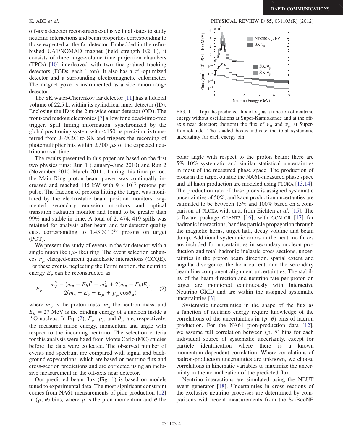off-axis detector reconstructs exclusive final states to study neutrino interactions and beam properties corresponding to those expected at the far detector. Embedded in the refurbished UA1/NOMAD magnet (field strength 0.2 T), it consists of three large-volume time projection chambers (TPCs) [[10](#page-6-9)] interleaved with two fine-grained tracking detectors (FGDs, each 1 ton). It also has a  $\pi^0$ -optimized detector and a surrounding electromagnetic calorimeter. The magnet yoke is instrumented as a side muon range detector.

The SK water-Cherenkov far detector [[11](#page-6-10)] has a fiducial volume of 22.5 kt within its cylindrical inner detector (ID). Enclosing the ID is the 2 m-wide outer detector (OD). The front-end readout electronics [[7](#page-6-6)] allow for a dead-time-free trigger. Spill timing information, synchronized by the global positioning system with  $\leq 150$  ns precision, is transferred from J-PARC to SK and triggers the recording of photomultiplier hits within  $\pm 500 \mu s$  of the expected neutrino arrival time.

The results presented in this paper are based on the first two physics runs: Run 1 (January–June 2010) and Run 2 (November 2010–March 2011). During this time period, the Main Ring proton beam power was continually increased and reached 145 kW with  $9 \times 10^{13}$  protons per pulse. The fraction of protons hitting the target was monitored by the electrostatic beam position monitors, segmented secondary emission monitors and optical transition radiation monitor and found to be greater than 99% and stable in time. A total of 2, 474, 419 spills was retained for analysis after beam and far-detector quality cuts, corresponding to  $1.43 \times 10^{20}$  protons on target (POT).

We present the study of events in the far detector with a single muonlike ( $\mu$ -like) ring. The event selection enhances  $\nu_{\mu}$  charged-current quasielastic interactions (CCQE). For these events, neglecting the Fermi motion, the neutrino energy  $E_{\nu}$  can be reconstructed as

<span id="page-3-0"></span>
$$
E_{\nu} = \frac{m_p^2 - (m_n - E_b)^2 - m_{\mu}^2 + 2(m_n - E_b)E_{\mu}}{2(m_n - E_b - E_{\mu} + p_{\mu}\cos\theta_{\mu})},
$$
 (2)

where  $m_p$  is the proton mass,  $m_n$  the neutron mass, and  $E_b = 27$  MeV is the binding energy of a nucleon inside a <sup>16</sup>O nucleus. In Eq. [\(2](#page-3-0)),  $E_{\mu}$ ,  $p_{\mu}$  and  $\theta_{\mu}$  are, respectively, the measured muon energy, momentum and angle with respect to the incoming neutrino. The selection criteria for this analysis were fixed from Monte Carlo (MC) studies before the data were collected. The observed number of events and spectrum are compared with signal and background expectations, which are based on neutrino flux and cross-section predictions and are corrected using an inclusive measurement in the off-axis near detector.

Our predicted beam flux (Fig. [1](#page-3-1)) is based on models tuned to experimental data. The most significant constraint comes from NA61 measurements of pion production [\[12\]](#page-6-11) in  $(p, \theta)$  bins, where p is the pion momentum and  $\theta$  the

K. ABE *et al.* PHYSICAL REVIEW D **85,** 031103(R) (2012)

<span id="page-3-1"></span>

FIG. 1. (Top) the predicted flux of  $\nu_{\mu}$  as a function of neutrino energy without oscillations at Super-Kamiokande and at the offaxis near detector; (bottom) the flux of  $\nu_{\mu}$  and  $\bar{\nu}_{\mu}$  at Super-Kamiokande. The shaded boxes indicate the total systematic uncertainty for each energy bin.

polar angle with respect to the proton beam; there are 5%–10% systematic and similar statistical uncertainties in most of the measured phase space. The production of pions in the target outside the NA61-measured phase space and all kaon production are modeled using FLUKA [\[13,](#page-6-12)[14\]](#page-6-13). The production rate of these pions is assigned systematic uncertainties of 50%, and kaon production uncertanties are estimated to be between 15% and 100% based on a comparison of FLUKA with data from Eichten et al. [[15](#page-6-14)]. The software package GEANT3 [\[16\]](#page-6-15), with GCALOR [\[17\]](#page-6-16) for hadronic interactions, handles particle propagation through the magnetic horns, target hall, decay volume and beam dump. Additional systematic errors in the neutrino fluxes are included for uncertainties in secondary nucleon production and total hadronic inelastic cross sections, uncertainties in the proton beam direction, spatial extent and angular divergence, the horn current, and the secondary beam line component alignment uncertainties. The stability of the beam direction and neutrino rate per proton on target are monitored continuously with Interactive Neutrino GRID and are within the assigned systematic uncertainties [\[3](#page-6-2)].

Systematic uncertainties in the shape of the flux as a function of neutrino energy require knowledge of the correlations of the uncertainties in  $(p, \theta)$  bins of hadron production. For the NA61 pion-production data [[12\]](#page-6-11), we assume full correlation between  $(p, \theta)$  bins for each individual source of systematic uncertainty, except for particle identification where there is a known momentum-dependent correlation. Where correlations of hadron-production uncertainties are unknown, we choose correlations in kinematic variables to maximize the uncertainty in the normalization of the predicted flux.

Neutrino interactions are simulated using the NEUT event generator [[18\]](#page-6-17). Uncertainties in cross sections of the exclusive neutrino processes are determined by comparisons with recent measurements from the SciBooNE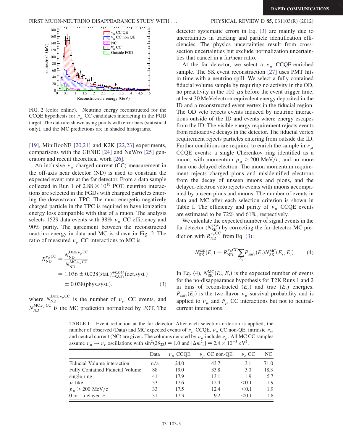<span id="page-4-0"></span>

FIG. 2 (color online). Neutrino energy reconstructed for the CCQE hypothesis for  $\nu_{\mu}$  CC candidates interacting in the FGD target. The data are shown using points with error bars (statistical only), and the MC predictions are in shaded histograms.

[\[19\]](#page-6-18), MiniBooNE [[20](#page-6-19),[21](#page-6-20)] and K2K [\[22](#page-6-21)[,23\]](#page-6-22) experiments, comparisons with the GENIE [[24](#page-6-23)] and NuWro [[25](#page-6-24)] generators and recent theoretical work [[26](#page-6-25)].

An inclusive  $\nu_{\mu}$  charged-current (CC) measurement in the off-axis near detector (ND) is used to constrain the expected event rate at the far detector. From a data sample collected in Run 1 of  $2.88 \times 10^{19}$  POT, neutrino interactions are selected in the FGDs with charged particles entering the downstream TPC. The most energetic negatively charged particle in the TPC is required to have ionization energy loss compatible with that of a muon. The analysis selects 1529 data events with 38%  $\nu_{\mu}$  CC efficiency and 90% purity. The agreement between the reconstructed neutrino energy in data and MC is shown in Fig. [2.](#page-4-0) The ratio of measured  $\nu_{\mu}$  CC interactions to MC is

<span id="page-4-1"></span>
$$
R_{\text{ND}}^{\nu_{\mu}\text{CC}} = \frac{N_{\text{ND}}^{\text{Data},\nu_{\mu}\text{CC}}}{N_{\text{ND}}^{\text{MC},\nu_{\mu}\text{CC}}} = 1.036 \pm 0.028(\text{stat.})^{+0.044}_{-0.037}(\text{det.syst.})
$$
  
= 0.038(phys.syst.), (3)

where  $N_{\text{ND}}^{\text{Data},\nu_{\mu}CC}$  is the number of  $\nu_{\mu}$  CC events, and  $N_{\text{ND}}^{\text{MC},\nu_{\mu}\text{CC}}$  is the MC prediction normalized by POT. The

detector systematic errors in Eq. [\(3](#page-4-1)) are mainly due to uncertainties in tracking and particle identification efficiencies. The physics uncertainties result from crosssection uncertainties but exclude normalization uncertainties that cancel in a far/near ratio.

At the far detector, we select a  $\nu_{\mu}$  CCQE-enriched sample. The SK event reconstruction [[27](#page-7-0)] uses PMT hits in time with a neutrino spill. We select a fully contained fiducial volume sample by requiring no activity in the OD, no preactivity in the 100  $\mu$ s before the event trigger time, at least 30 MeVelectron-equivalent energy deposited in the ID and a reconstructed event vertex in the fiducial region. The OD veto rejects events induced by neutrino interactions outside of the ID and events where energy escapes from the ID. The visible energy requirement rejects events from radioactive decays in the detector. The fiducial vertex requirement rejects particles entering from outside the ID. Further conditions are required to enrich the sample in  $\nu_{\mu}$ CCQE events: a single Cherenkov ring identified as a muon, with momentum  $p_{\mu} > 200 \text{ MeV/c}$ , and no more than one delayed electron. The muon momentum requirement rejects charged pions and misidentified electrons from the decay of unseen muons and pions, and the delayed-electron veto rejects events with muons accompanied by unseen pions and muons. The number of events in data and MC after each selection criterion is shown in Table [I](#page-4-2). The efficiency and purity of  $\nu_{\mu}$  CCQE events are estimated to be 72% and 61%, respectively.

<span id="page-4-3"></span>We calculate the expected number of signal events in the far detector  $(N_{SK}^{exp})$  by correcting the far-detector MC prediction with  $R_{ND}^{\nu_{\mu}CC}$  from Eq. ([3](#page-4-1)):

$$
N_{\rm SK}^{\rm exp}(E_r) = R_{\rm ND}^{\nu_\mu \rm CC} \sum_{E_t} P_{\rm surv}(E_t) N_{\rm SK}^{\rm MC}(E_r, E_t). \tag{4}
$$

In Eq. [\(4\)](#page-4-3),  $N_{SK}^{MC}(E_r, E_t)$  is the expected number of events for the no-disappearance hypothesis for T2K Runs 1 and 2 in bins of reconstructed  $(E_r)$  and true  $(E_t)$  energies.  $P_{\text{surv}}(E_t)$  is the two-flavor  $\nu_\mu$ -survival probability and is applied to  $\nu_{\mu}$  and  $\bar{\nu}_{\mu}$  CC interactions but not to neutralcurrent interactions.

<span id="page-4-2"></span>TABLE I. Event reduction at the far detector. After each selection criterion is applied, the number of observed (Data) and MC expected events of  $\nu_{\mu}$  CCQE,  $\nu_{\mu}$  CC non-QE, intrinsic  $\nu_e$ , and neutral current (NC) are given. The columns denoted by  $\nu_{\mu}$  include  $\bar{\nu}_{\mu}$ . All MC CC samples assume  $\nu_{\mu} \rightarrow \nu_{\tau}$  oscillations with  $\sin^2(2\theta_{23}) = 1.0$  and  $|\Delta m_{32}^2| = 2.4 \times 10^{-3}$  eV<sup>2</sup>.

|                                 | Data | $\nu_{\mu}$ CCQE | $\nu_{\mu}$ CC non-QE | $\nu_e$ CC | NC.  |
|---------------------------------|------|------------------|-----------------------|------------|------|
| Fiducial Volume interaction     | n/a  | 24.0             | 43.7                  | 3.1        | 71.0 |
| Fully Contained Fiducial Volume | 88   | 19.0             | 33.8                  | 3.0        | 18.3 |
| single ring                     | 41   | 17.9             | 13.1                  | 1.9        | 5.7  |
| $\mu$ -like                     | 33   | 17.6             | 12.4                  | < 0.1      | 1.9  |
| $p_{\mu} > 200 \text{ MeV/c}$   | 33   | 17.5             | 12.4                  | < 0.1      | 1.9  |
| 0 or 1 delayed $e$              | 31   | 17.3             | 9.2                   | < 0.1      | 1.8  |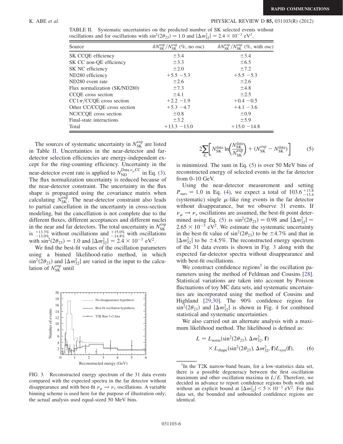### K. ABE *et al.* PHYSICAL REVIEW D **85,** 031103(R) (2012)

| Source                        | $\delta N_{SK}^{\text{exp}}/N_{SK}^{\text{exp}}$ (%, no osc) | $\delta N_{SK}^{\text{exp}}/N_{SK}^{\text{exp}}$ (%, with osc) |
|-------------------------------|--------------------------------------------------------------|----------------------------------------------------------------|
| SK CCQE efficiency            | $\pm$ 3.4                                                    | $\pm$ 3.4                                                      |
| SK CC non-QE efficiency       | $\pm$ 3.3                                                    | $\pm 6.5$                                                      |
| SK NC efficiency              | $\pm 2.0$                                                    | $\pm 7.2$                                                      |
| ND280 efficiency              | $+5.5 - 5.3$                                                 | $+5.5 - 5.3$                                                   |
| ND280 event rate              | $\pm 2.6$                                                    | $\pm 2.6$                                                      |
| Flux normalization (SK/ND280) | $\pm 7.3$                                                    | ±4.8                                                           |
| CCOE cross section            | $\pm 4.1$                                                    | $\pm 2.5$                                                      |
| $CC1\pi$ /CCQE cross section  | $+2.2 -1.9$                                                  | $+0.4 -0.5$                                                    |
| Other CC/CCQE cross section   | $+5.3 -4.7$                                                  | $+4.1 -3.6$                                                    |
| NC/CCQE cross section         | $\pm 0.8$                                                    | $\pm 0.9$                                                      |
| Final-state interactions      | $\pm$ 3.2                                                    | $\pm$ 5.9                                                      |
| Total                         | $+13.3 -13.0$                                                | $+15.0 -14.8$                                                  |

<span id="page-5-0"></span>TABLE II. Systematic uncertainties on the predicted number of SK selected events without oscillations and for oscillations with  $\sin^2(2\theta_{23}) = 1.0$  and  $|\Delta m_{32}^2| = 2.4 \times 10^{-3}$  eV<sup>2</sup>.

The sources of systematic uncertainty in  $N_{SK}^{\text{exp}}$  are listed in Table [II.](#page-5-0) Uncertainties in the near-detector and fardetector selection efficiencies are energy-independent except for the ring-counting efficiency. Uncertainty in the near-detector event rate is applied to  $N_{\text{ND}}^{\text{Data},\nu_{\mu}CC}$  in Eq. ([3\)](#page-4-1). The flux normalization uncertainty is reduced because of the near-detector constraint. The uncertainty in the flux shape is propagated using the covariance matrix when calculating  $N_{SK}^{\text{exp}}$ . The near-detector constraint also leads to partial cancellation in the uncertainty in cross-section modeling, but the cancellation is not complete due to the different fluxes, different acceptances and different nuclei in the near and far detectors. The total uncertainty in  $N_{SK}^{\text{exp}}$ <br>is  $^{+13.3\%}_{-13.0\%}$  without oscillations and  $^{+15.0\%}_{-14.8\%}$  with oscillations with  $\sin^2(2\theta_{23}) = 1.0$  and  $|\Delta m_{32}^2| = 2.4 \times 10^{-3}$  eV<sup>2</sup>.

We find the best-fit values of the oscillation parameters using a binned likelihood-ratio method, in which  $\sin^2(2\theta_{23})$  and  $|\Delta m_{32}^2|$  are varied in the input to the calculation of  $N_{SK}^{exp}$  until

<span id="page-5-2"></span>

FIG. 3. Reconstructed energy spectrum of the 31 data events compared with the expected spectra in the far detector without disappearance and with best-fit  $\nu_{\mu} \rightarrow \nu_{\tau}$  oscillations. A variable binning scheme is used here for the purpose of illustration only; the actual analysis used equal-sized 50 MeV bins.

<span id="page-5-1"></span>
$$
2\sum_{E_r} \left[ N_{\rm SK}^{\rm data} \ln \left( \frac{N_{\rm SK}^{\rm data}}{N_{\rm SK}^{\rm exp}} \right) + (N_{\rm SK}^{\rm exp} - N_{\rm SK}^{\rm data}) \right] \tag{5}
$$

is minimized. The sum in Eq. ([5\)](#page-5-1) is over 50 MeV bins of reconstructed energy of selected events in the far detector from 0–10 GeV.

Using the near-detector measurement and setting  $P_{\text{surv}} = 1.0$  in Eq. [\(4](#page-4-3)), we expect a total of  $103.6^{+13.8}_{-13.4}$ (systematic) single  $\mu$ -like ring events in the far detector without disappearance, but we observe 31 events. If  $\nu_{\mu} \rightarrow \nu_{\tau}$  oscillations are assumed, the best-fit point deter-mined using Eq. [\(5](#page-5-1)) is  $\sin^2(2\theta_{23}) = 0.98$  and  $|\Delta m_{32}^2| =$  $2.65 \times 10^{-3}$  eV<sup>2</sup>. We estimate the systematic uncertainty in the best-fit value of  $\sin^2(2\theta_{23})$  to be  $\pm$ 4.7% and that in  $|\Delta m_{32}^2|$  to be  $\pm 4.5\%$ . The reconstructed energy spectrum of the 31 data events is shown in Fig. [3](#page-5-2) along with the expected far-detector spectra without disappearance and with best-fit oscillations.

We construct confidence regions<sup>1</sup> in the oscillation parameters using the method of Feldman and Cousins [[28\]](#page-7-1). Statistical variations are taken into account by Poisson fluctuations of toy MC data sets, and systematic uncertainties are incorporated using the method of Cousins and Highland [\[29](#page-7-2)[,30\]](#page-7-3). The 90% confidence region for  $\sin^2(2\theta_{23})$  and  $|\Delta m_{32}^2|$  is shown in Fig. [4](#page-6-26) for combined statistical and systematic uncertainties.

<span id="page-5-3"></span>We also carried out an alternate analysis with a maximum likelihood method. The likelihood is defined as:

$$
L = L_{\text{norm}}(\sin^2(2\theta_{23}), \Delta m_{32}^2, \mathbf{f})
$$
  
×  $L_{\text{shape}}(\sin^2(2\theta_{23}), \Delta m_{32}^2, \mathbf{f})L_{\text{syst}}(\mathbf{f}),$  (6)

<sup>&</sup>lt;sup>1</sup>In the T2K narrow-band beam, for a low-statistics data set, there is a possible degeneracy between the first oscillation maximum and other oscillation maxima in  $L/E$ . Therefore, we decided in advance to report confidence regions both with and without an explicit bound at  $|\Delta m_{32}^2| < 5 \times 10^{-3}$  eV<sup>2</sup>. For this data set, the bounded and unbounded confidence regions are identical.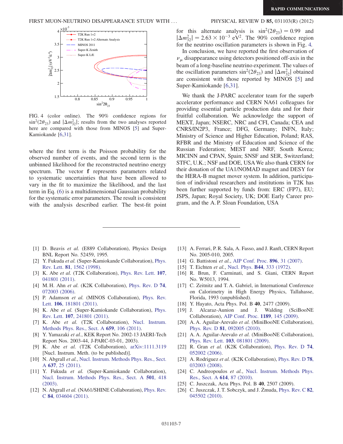<span id="page-6-26"></span>

FIG. 4 (color online). The 90% confidence regions for  $\sin^2(2\theta_{23})$  and  $|\Delta m_{32}^2|$ ; results from the two analyses reported here are compared with those from MINOS [\[5](#page-6-4)] and Super-Kamiokande [[6](#page-6-5),[31](#page-7-4)].

where the first term is the Poisson probability for the observed number of events, and the second term is the unbinned likelihood for the reconstructed neutrino energy spectrum. The vector f represents parameters related to systematic uncertainties that have been allowed to vary in the fit to maximize the likelihood, and the last term in Eq. [\(6](#page-5-3)) is a multidimensional Gaussian probability for the systematic error parameters. The result is consistent with the analysis described earlier. The best-fit point

for this alternate analysis is  $\sin^2(2\theta_{23}) = 0.99$  and  $|\Delta m_{32}^2| = 2.63 \times 10^{-3} \text{ eV}^2$ . The 90% confidence region for the neutrino oscillation parameters is shown in Fig. [4.](#page-6-26)

In conclusion, we have reported the first observation of  $\nu_{\mu}$  disappearance using detectors positioned off-axis in the beam of a long-baseline neutrino experiment. The values of the oscillation parameters  $\sin^2(2\theta_{23})$  and  $|\Delta m_{32}^2|$  obtained are consistent with those reported by MINOS [[5\]](#page-6-4) and Super-Kamiokande [[6](#page-6-5),[31](#page-7-4)].

We thank the J-PARC accelerator team for the superb accelerator performance and CERN NA61 colleagues for providing essential particle production data and for their fruitful collaboration. We acknowledge the support of MEXT, Japan; NSERC, NRC and CFI, Canada; CEA and CNRS/IN2P3, France; DFG, Germany; INFN, Italy; Ministry of Science and Higher Education, Poland; RAS, RFBR and the Ministry of Education and Science of the Russian Federation; MEST and NRF, South Korea; MICINN and CPAN, Spain; SNSF and SER, Switzerland; STFC, U.K.; NSF and DOE, USAWe also thank CERN for their donation of the UA1/NOMAD magnet and DESY for the HERA-B magnet mover system. In addition, participation of individual researchers and institutions in T2K has been further supported by funds from: ERC (FP7), EU; JSPS, Japan; Royal Society, UK; DOE Early Career program, and the A. P. Sloan Foundation, USA

- <span id="page-6-0"></span>[1] D. Beavis et al. (E889 Collaboration), Physics Design BNL Report No. 52459, 1995.
- <span id="page-6-1"></span>[2] Y. Fukuda et al. (Super-Kamiokande Collaboration), [Phys.](http://dx.doi.org/10.1103/PhysRevLett.81.1562) Rev. Lett. 81[, 1562 \(1998\).](http://dx.doi.org/10.1103/PhysRevLett.81.1562)
- <span id="page-6-2"></span>[3] K. Abe et al. (T2K Collaboration), [Phys. Rev. Lett.](http://dx.doi.org/10.1103/PhysRevLett.107.041801) 107, [041801 \(2011\)](http://dx.doi.org/10.1103/PhysRevLett.107.041801).
- <span id="page-6-3"></span>[4] M. H. Ahn et al. (K2K Collaboration), [Phys. Rev. D](http://dx.doi.org/10.1103/PhysRevD.74.072003) 74, [072003 \(2006\)](http://dx.doi.org/10.1103/PhysRevD.74.072003).
- <span id="page-6-4"></span>[5] P. Adamson et al. (MINOS Collaboration), [Phys. Rev.](http://dx.doi.org/10.1103/PhysRevLett.106.181801) Lett. 106[, 181801 \(2011\).](http://dx.doi.org/10.1103/PhysRevLett.106.181801)
- <span id="page-6-5"></span>[6] K. Abe et al. (Super-Kamiokande Collaboration), [Phys.](http://dx.doi.org/10.1103/PhysRevLett.107.241801) Rev. Lett. 107[, 241801 \(2011\).](http://dx.doi.org/10.1103/PhysRevLett.107.241801)
- <span id="page-6-6"></span>[7] K. Abe et al. (T2K Collaboration), [Nucl. Instrum.](http://dx.doi.org/10.1016/j.nima.2011.06.067) [Methods Phys. Res., Sect. A](http://dx.doi.org/10.1016/j.nima.2011.06.067) 659, 106 (2011).
- <span id="page-6-7"></span>[8] Y. Yamazaki et al., KEK Report No. 2002-13 JAERI-Tech Report Nos. 2003-44, J-PARC-03-01, 2003).
- <span id="page-6-8"></span>[9] K. Abe et al. (T2K Collaboration), [arXiv:1111.3119](http://arXiv.org/abs/1111.3119) [Nucl. Instrum. Meth. (to be published)].
- <span id="page-6-9"></span>[10] N. Abgrall et al., [Nucl. Instrum. Methods Phys. Res., Sect.](http://dx.doi.org/10.1016/j.nima.2011.02.036) A 637[, 25 \(2011\)](http://dx.doi.org/10.1016/j.nima.2011.02.036).
- <span id="page-6-10"></span>[11] Y. Fukuda et al. (Super-Kamiokande Collaboration), [Nucl. Instrum. Methods Phys. Res., Sect. A](http://dx.doi.org/10.1016/S0168-9002(03)00425-X) 501, 418 [\(2003\)](http://dx.doi.org/10.1016/S0168-9002(03)00425-X).
- <span id="page-6-11"></span>[12] N. Abgrall et al. (NA61/SHINE Collaboration), [Phys. Rev.](http://dx.doi.org/10.1103/PhysRevC.84.034604) C 84[, 034604 \(2011\).](http://dx.doi.org/10.1103/PhysRevC.84.034604)
- <span id="page-6-12"></span>[13] A. Ferrari, P. R. Sala, A. Fasso, and J. Ranft, CERN Report No. 2005-010, 2005.
- <span id="page-6-14"></span><span id="page-6-13"></span>[14] G. Battistoni et al., [AIP Conf. Proc.](http://dx.doi.org/10.1063/1.2720455) 896, 31 (2007).
- <span id="page-6-15"></span>[15] T. Eichten et al., Nucl. Phys. **B44**[, 333 \(1972\).](http://dx.doi.org/10.1016/0550-3213(72)90120-4)
- [16] R. Brun, F. Carminati, and S. Giani, CERN Report No. W5013, 1994.
- <span id="page-6-16"></span>[17] C. Zeitnitz and T. A. Gabriel, in International Conference on Calorimetry in High Energy Physics, Tallahasse, Florida, 1993 (unpublished).
- <span id="page-6-18"></span><span id="page-6-17"></span>[18] Y. Hayato, Acta Phys. Pol. B 40, 2477 (2009).
- [19] J. Alcaraz-Aunion and J. Walding (SciBooNE Collaboration), [AIP Conf. Proc.](http://dx.doi.org/10.1063/1.3274145) 1189, 145 (2009).
- <span id="page-6-19"></span>[20] A. A. Aguilar-Arevalo et al. (MiniBooNE Collaboration), Phys. Rev. D 81[, 092005 \(2010\).](http://dx.doi.org/10.1103/PhysRevD.81.092005)
- <span id="page-6-20"></span>[21] A. A. Aguilar-Arevalo et al. (MiniBooNE Collaboration), Phys. Rev. Lett. 103[, 081801 \(2009\).](http://dx.doi.org/10.1103/PhysRevLett.103.081801)
- <span id="page-6-21"></span>[22] R. Gran et al. (K2K Collaboration), [Phys. Rev. D](http://dx.doi.org/10.1103/PhysRevD.74.052002) 74, [052002 \(2006\).](http://dx.doi.org/10.1103/PhysRevD.74.052002)
- <span id="page-6-22"></span>[23] A. Rodriguez et al. (K2K Collaboration), [Phys. Rev. D](http://dx.doi.org/10.1103/PhysRevD.78.032003) 78, [032003 \(2008\).](http://dx.doi.org/10.1103/PhysRevD.78.032003)
- <span id="page-6-23"></span>[24] C. Andreopoulos et al., [Nucl. Instrum. Methods Phys.](http://dx.doi.org/10.1016/j.nima.2009.12.009) [Res., Sect. A](http://dx.doi.org/10.1016/j.nima.2009.12.009) 614, 87 (2010).
- <span id="page-6-25"></span><span id="page-6-24"></span>[25] C. Juszczak, Acta Phys. Pol. B 40, 2507 (2009).
- [26] C. Juszczak, J. T. Sobczyk, and J. Zmuda, [Phys. Rev. C](http://dx.doi.org/10.1103/PhysRevC.82.045502)  $82$ , [045502 \(2010\).](http://dx.doi.org/10.1103/PhysRevC.82.045502)